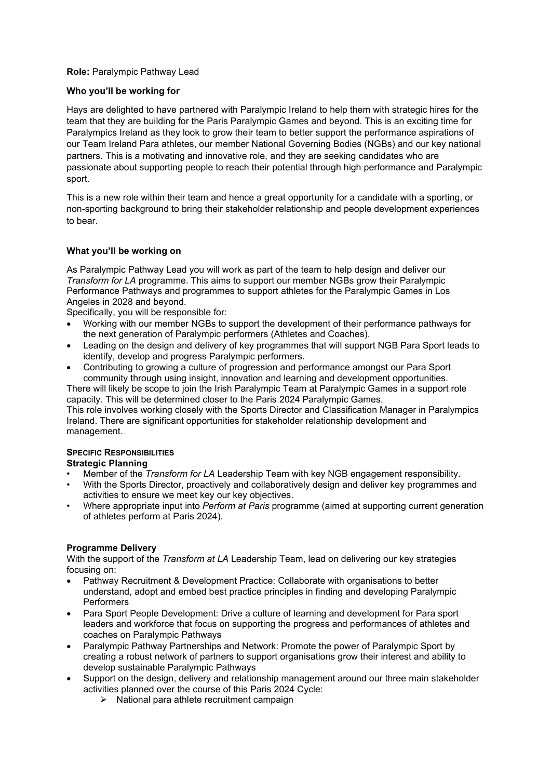## **Role:** Paralympic Pathway Lead

#### **Who you'll be working for**

Hays are delighted to have partnered with Paralympic Ireland to help them with strategic hires for the team that they are building for the Paris Paralympic Games and beyond. This is an exciting time for Paralympics Ireland as they look to grow their team to better support the performance aspirations of our Team Ireland Para athletes, our member National Governing Bodies (NGBs) and our key national partners. This is a motivating and innovative role, and they are seeking candidates who are passionate about supporting people to reach their potential through high performance and Paralympic sport.

This is a new role within their team and hence a great opportunity for a candidate with a sporting, or non-sporting background to bring their stakeholder relationship and people development experiences to bear.

## **What you'll be working on**

As Paralympic Pathway Lead you will work as part of the team to help design and deliver our *Transform for LA* programme. This aims to support our member NGBs grow their Paralympic Performance Pathways and programmes to support athletes for the Paralympic Games in Los Angeles in 2028 and beyond.

Specifically, you will be responsible for:

- Working with our member NGBs to support the development of their performance pathways for the next generation of Paralympic performers (Athletes and Coaches).
- Leading on the design and delivery of key programmes that will support NGB Para Sport leads to identify, develop and progress Paralympic performers.
- Contributing to growing a culture of progression and performance amongst our Para Sport community through using insight, innovation and learning and development opportunities.

There will likely be scope to join the Irish Paralympic Team at Paralympic Games in a support role capacity. This will be determined closer to the Paris 2024 Paralympic Games.

This role involves working closely with the Sports Director and Classification Manager in Paralympics Ireland. There are significant opportunities for stakeholder relationship development and management.

# **SPECIFIC RESPONSIBILITIES**

## **Strategic Planning**

- Member of the *Transform for LA* Leadership Team with key NGB engagement responsibility.
- With the Sports Director, proactively and collaboratively design and deliver key programmes and activities to ensure we meet key our key objectives.
- Where appropriate input into *Perform at Paris* programme (aimed at supporting current generation of athletes perform at Paris 2024).

## **Programme Delivery**

With the support of the *Transform at LA* Leadership Team, lead on delivering our key strategies focusing on:

- Pathway Recruitment & Development Practice: Collaborate with organisations to better understand, adopt and embed best practice principles in finding and developing Paralympic Performers
- Para Sport People Development: Drive a culture of learning and development for Para sport leaders and workforce that focus on supporting the progress and performances of athletes and coaches on Paralympic Pathways
- Paralympic Pathway Partnerships and Network: Promote the power of Paralympic Sport by creating a robust network of partners to support organisations grow their interest and ability to develop sustainable Paralympic Pathways
- Support on the design, delivery and relationship management around our three main stakeholder activities planned over the course of this Paris 2024 Cycle:
	- $\triangleright$  National para athlete recruitment campaign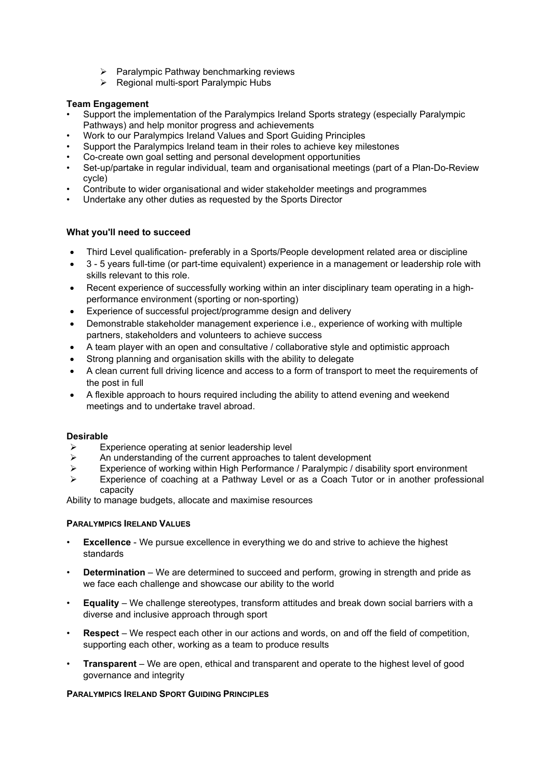- $\triangleright$  Paralympic Pathway benchmarking reviews
- $\triangleright$  Regional multi-sport Paralympic Hubs

## **Team Engagement**

- Support the implementation of the Paralympics Ireland Sports strategy (especially Paralympic Pathways) and help monitor progress and achievements
- Work to our Paralympics Ireland Values and Sport Guiding Principles
- Support the Paralympics Ireland team in their roles to achieve key milestones
- Co-create own goal setting and personal development opportunities
- Set-up/partake in regular individual, team and organisational meetings (part of a Plan-Do-Review cycle)
- Contribute to wider organisational and wider stakeholder meetings and programmes
- Undertake any other duties as requested by the Sports Director

## **What you'll need to succeed**

- Third Level qualification- preferably in a Sports/People development related area or discipline
- 3 5 years full-time (or part-time equivalent) experience in a management or leadership role with skills relevant to this role.
- Recent experience of successfully working within an inter disciplinary team operating in a highperformance environment (sporting or non-sporting)
- Experience of successful project/programme design and delivery
- Demonstrable stakeholder management experience i.e., experience of working with multiple partners, stakeholders and volunteers to achieve success
- A team player with an open and consultative / collaborative style and optimistic approach
- Strong planning and organisation skills with the ability to delegate
- A clean current full driving licence and access to a form of transport to meet the requirements of the post in full
- A flexible approach to hours required including the ability to attend evening and weekend meetings and to undertake travel abroad.

## **Desirable**

- $\triangleright$  Experience operating at senior leadership level
- An understanding of the current approaches to talent development<br>  $\triangleright$  Fxperience of working within High Performance / Paralympic / disal
- Experience of working within High Performance / Paralympic / disability sport environment
- Experience of coaching at a Pathway Level or as a Coach Tutor or in another professional capacity

Ability to manage budgets, allocate and maximise resources

## **PARALYMPICS IRELAND VALUES**

- **Excellence** We pursue excellence in everything we do and strive to achieve the highest standards
- **Determination** We are determined to succeed and perform, growing in strength and pride as we face each challenge and showcase our ability to the world
- **Equality** We challenge stereotypes, transform attitudes and break down social barriers with a diverse and inclusive approach through sport
- **Respect** We respect each other in our actions and words, on and off the field of competition, supporting each other, working as a team to produce results
- **Transparent** We are open, ethical and transparent and operate to the highest level of good governance and integrity

## **PARALYMPICS IRELAND SPORT GUIDING PRINCIPLES**